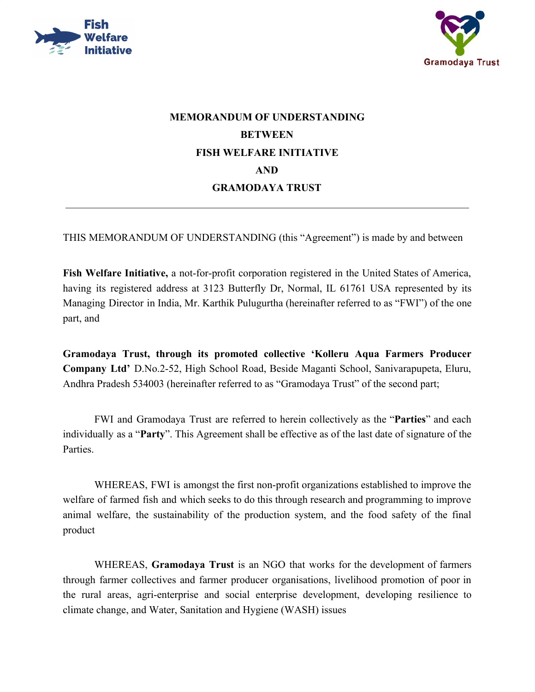



## **MEMORANDUM OF UNDERSTANDING BETWEEN FISH WELFARE INITIATIVE AND GRAMODAYA TRUST**

THIS MEMORANDUM OF UNDERSTANDING (this "Agreement") is made by and between

**Fish Welfare Initiative,** a not-for-profit corporation registered in the United States of America, having its registered address at 3123 Butterfly Dr, Normal, IL 61761 USA represented by its Managing Director in India, Mr. Karthik Pulugurtha (hereinafter referred to as "FWI") of the one part, and

**Gramodaya Trust, through its promoted collective 'Kolleru Aqua Farmers Producer Company Ltd'** D.No.2-52, High School Road, Beside Maganti School, Sanivarapupeta, Eluru, Andhra Pradesh 534003 (hereinafter referred to as "Gramodaya Trust" of the second part;

FWI and Gramodaya Trust are referred to herein collectively as the "**Parties**" and each individually as a "**Party**". This Agreement shall be effective as of the last date of signature of the **Parties** 

WHEREAS, FWI is amongst the first non-profit organizations established to improve the welfare of farmed fish and which seeks to do this through research and programming to improve animal welfare, the sustainability of the production system, and the food safety of the final product

WHEREAS, **Gramodaya Trust** is an NGO that works for the development of farmers through farmer collectives and farmer producer organisations, livelihood promotion of poor in the rural areas, agri-enterprise and social enterprise development, developing resilience to climate change, and Water, Sanitation and Hygiene (WASH) issues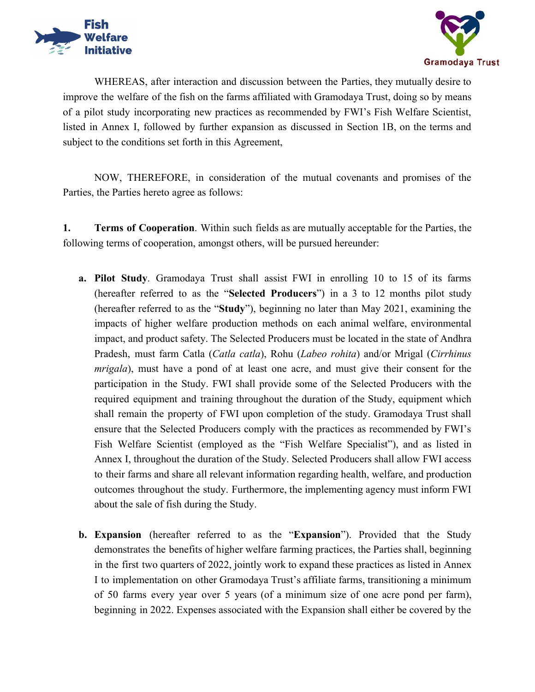



WHEREAS, after interaction and discussion between the Parties, they mutually desire to improve the welfare of the fish on the farms affiliated with Gramodaya Trust, doing so by means of a pilot study incorporating new practices as recommended by FWI's Fish Welfare Scientist, listed in Annex I, followed by further expansion as discussed in Section 1B, on the terms and subject to the conditions set forth in this Agreement,

NOW, THEREFORE, in consideration of the mutual covenants and promises of the Parties, the Parties hereto agree as follows:

**1. Terms of Cooperation**. Within such fields as are mutually acceptable for the Parties, the following terms of cooperation, amongst others, will be pursued hereunder:

- **a. Pilot Study**. Gramodaya Trust shall assist FWI in enrolling 10 to 15 of its farms (hereafter referred to as the "**Selected Producers**") in a 3 to 12 months pilot study (hereafter referred to as the "**Study**"), beginning no later than May 2021, examining the impacts of higher welfare production methods on each animal welfare, environmental impact, and product safety. The Selected Producers must be located in the state of Andhra Pradesh, must farm Catla (*Catla catla*), Rohu (*Labeo rohita*) and/or Mrigal (*Cirrhinus mrigala*), must have a pond of at least one acre, and must give their consent for the participation in the Study. FWI shall provide some of the Selected Producers with the required equipment and training throughout the duration of the Study, equipment which shall remain the property of FWI upon completion of the study. Gramodaya Trust shall ensure that the Selected Producers comply with the practices as recommended by FWI's Fish Welfare Scientist (employed as the "Fish Welfare Specialist"), and as listed in Annex I, throughout the duration of the Study. Selected Producers shall allow FWI access to their farms and share all relevant information regarding health, welfare, and production outcomes throughout the study. Furthermore, the implementing agency must inform FWI about the sale of fish during the Study.
- **b. Expansion** (hereafter referred to as the "**Expansion**"). Provided that the Study demonstrates the benefits of higher welfare farming practices, the Parties shall, beginning in the first two quarters of 2022, jointly work to expand these practices as listed in Annex I to implementation on other Gramodaya Trust's affiliate farms, transitioning a minimum of 50 farms every year over 5 years (of a minimum size of one acre pond per farm), beginning in 2022. Expenses associated with the Expansion shall either be covered by the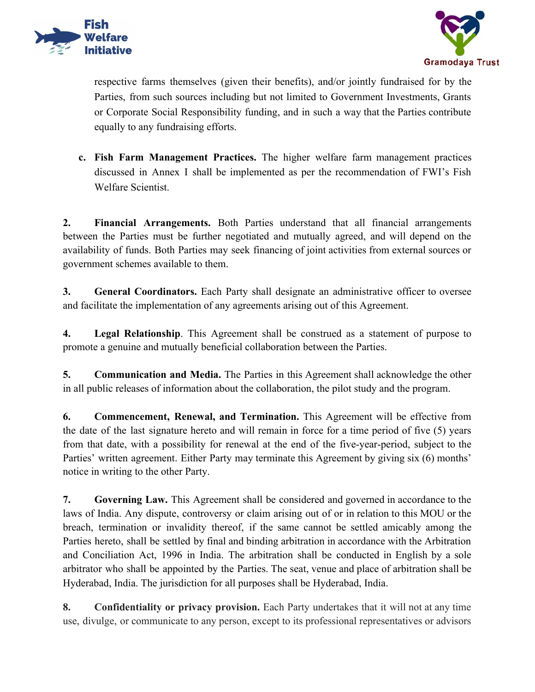



respective farms themselves (given their benefits), and/or jointly fundraised for by the Parties, from such sources including but not limited to Government Investments, Grants or Corporate Social Responsibility funding, and in such a way that the Parties contribute equally to any fundraising efforts.

**c. Fish Farm Management Practices.** The higher welfare farm management practices discussed in Annex I shall be implemented as per the recommendation of FWI's Fish Welfare Scientist.

**2. Financial Arrangements.** Both Parties understand that all financial arrangements between the Parties must be further negotiated and mutually agreed, and will depend on the availability of funds. Both Parties may seek financing of joint activities from external sources or government schemes available to them.

**3. General Coordinators.** Each Party shall designate an administrative officer to oversee and facilitate the implementation of any agreements arising out of this Agreement.

**4. Legal Relationship**. This Agreement shall be construed as a statement of purpose to promote a genuine and mutually beneficial collaboration between the Parties.

**5. Communication and Media.** The Parties in this Agreement shall acknowledge the other in all public releases of information about the collaboration, the pilot study and the program.

**6. Commencement, Renewal, and Termination.** This Agreement will be effective from the date of the last signature hereto and will remain in force for a time period of five (5) years from that date, with a possibility for renewal at the end of the five-year-period, subject to the Parties' written agreement. Either Party may terminate this Agreement by giving six (6) months' notice in writing to the other Party.

**7. Governing Law.** This Agreement shall be considered and governed in accordance to the laws of India. Any dispute, controversy or claim arising out of or in relation to this MOU or the breach, termination or invalidity thereof, if the same cannot be settled amicably among the Parties hereto, shall be settled by final and binding arbitration in accordance with the Arbitration and Conciliation Act, 1996 in India. The arbitration shall be conducted in English by a sole arbitrator who shall be appointed by the Parties. The seat, venue and place of arbitration shall be Hyderabad, India. The jurisdiction for all purposes shall be Hyderabad, India.

**8. Confidentiality or privacy provision.** Each Party undertakes that it will not at any time use, divulge, or communicate to any person, except to its professional representatives or advisors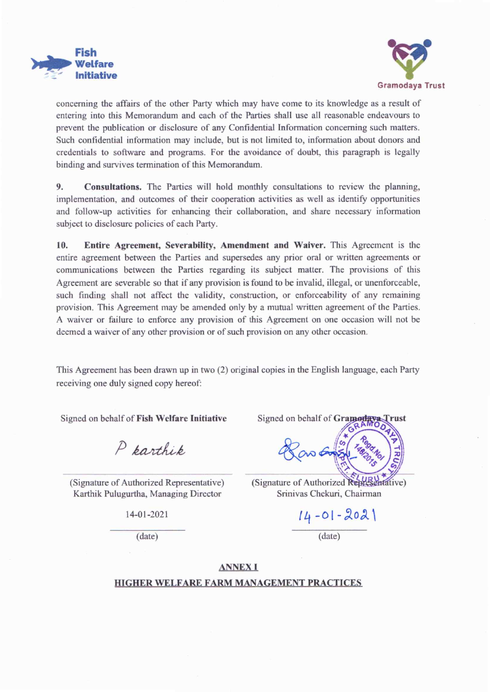



concerning the affairs of the other Party which may have come to its knowledge as a result of entering into this Memorandum and each of the Parties shall use all reasonable endeavours to prevent the publication or disclosure of any Confidential Information concerning such matters. Such confidential information may include, but is not limited to, information about donors and credentials to software and programs. For the avoidance of doubt, this paragraph is legally binding and survives termination of this Memorandum.

9. **Consultations.** The Parties will hold monthly consultations to review the planning, implementation, and outcomes of their cooperation activities as well as identify opportunities and follow-up activities for enhancing their collaboration, and share necessary information subject to disclosure policies of each Party.

Entire Agreement, Severability, Amendment and Waiver. This Agreement is the 10. entire agreement between the Parties and supersedes any prior oral or written agreements or communications between the Parties regarding its subject matter. The provisions of this Agreement are severable so that if any provision is found to be invalid, illegal, or unenforceable, such finding shall not affect the validity, construction, or enforceability of any remaining provision. This Agreement may be amended only by a mutual written agreement of the Parties. A waiver or failure to enforce any provision of this Agreement on one occasion will not be deemed a waiver of any other provision or of such provision on any other occasion.

This Agreement has been drawn up in two (2) original copies in the English language, each Party receiving one duly signed copy hereof:

Signed on behalf of Fish Welfare Initiative

P parthip

(Signature of Authorized Representative) Karthik Pulugurtha, Managing Director

14-01-2021

 $(data)$ 

Signed on behalf of Gramodaya Trust

(Signature of Authorized Representative) Srinivas Chekuri, Chairman

 $14 - 01 - 2021$  $(data)$ 

**ANNEXI** 

## HIGHER WELFARE FARM MANAGEMENT PRACTICES